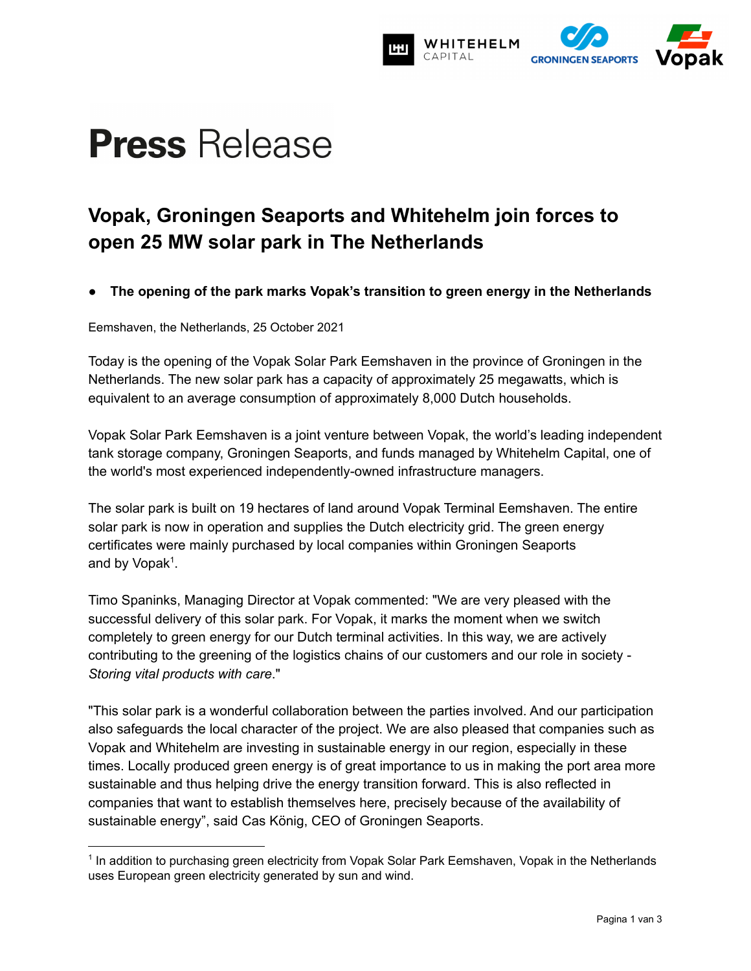

# **Press** Release

# **Vopak, Groningen Seaports and Whitehelm join forces to open 25 MW solar park in The Netherlands**

**● The opening of the park marks Vopak's transition to green energy in the Netherlands**

Eemshaven, the Netherlands, 25 October 2021

Today is the opening of the Vopak Solar Park Eemshaven in the province of Groningen in the Netherlands. The new solar park has a capacity of approximately 25 megawatts, which is equivalent to an average consumption of approximately 8,000 Dutch households.

Vopak Solar Park Eemshaven is a joint venture between Vopak, the world's leading independent tank storage company, Groningen Seaports, and funds managed by Whitehelm Capital, one of the world's most experienced independently-owned infrastructure managers.

The solar park is built on 19 hectares of land around Vopak Terminal Eemshaven. The entire solar park is now in operation and supplies the Dutch electricity grid. The green energy certificates were mainly purchased by local companies within Groningen Seaports and by Vopak<sup>1</sup>.

Timo Spaninks, Managing Director at Vopak commented: "We are very pleased with the successful delivery of this solar park. For Vopak, it marks the moment when we switch completely to green energy for our Dutch terminal activities. In this way, we are actively contributing to the greening of the logistics chains of our customers and our role in society - *Storing vital products with care*."

"This solar park is a wonderful collaboration between the parties involved. And our participation also safeguards the local character of the project. We are also pleased that companies such as Vopak and Whitehelm are investing in sustainable energy in our region, especially in these times. Locally produced green energy is of great importance to us in making the port area more sustainable and thus helping drive the energy transition forward. This is also reflected in companies that want to establish themselves here, precisely because of the availability of sustainable energy", said Cas König, CEO of Groningen Seaports.

<sup>&</sup>lt;sup>1</sup> In addition to purchasing green electricity from Vopak Solar Park Eemshaven, Vopak in the Netherlands uses European green electricity generated by sun and wind.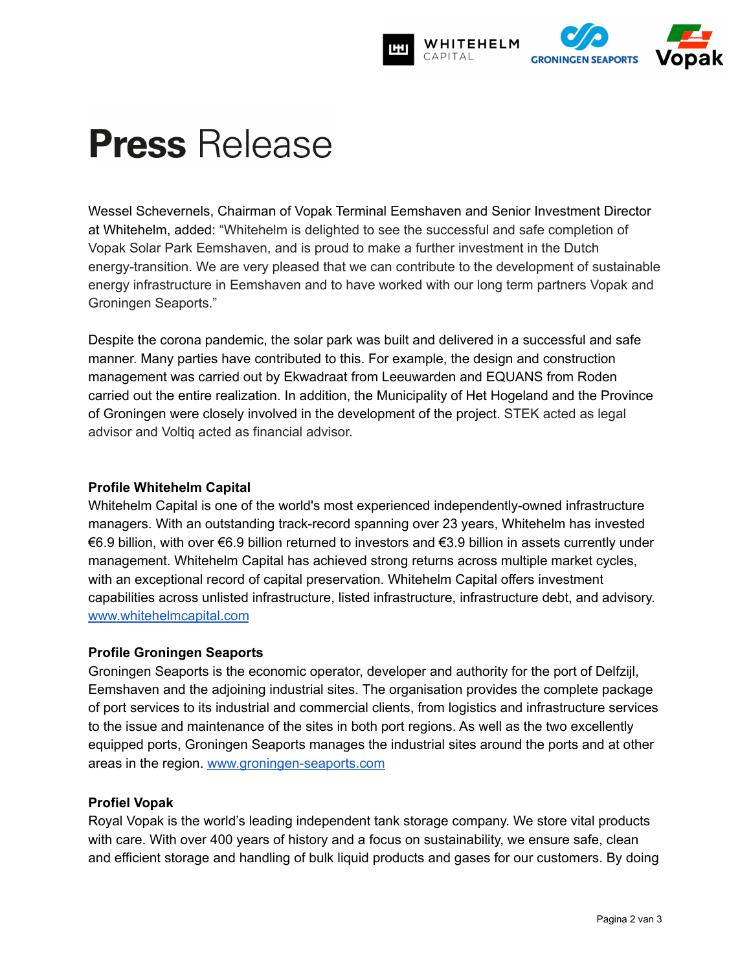

# **Press** Release

Wessel Schevernels, Chairman of Vopak Terminal Eemshaven and Senior Investment Director at Whitehelm, added: "Whitehelm is delighted to see the successful and safe completion of Vopak Solar Park Eemshaven, and is proud to make a further investment in the Dutch energy-transition. We are very pleased that we can contribute to the development of sustainable energy infrastructure in Eemshaven and to have worked with our long term partners Vopak and Groningen Seaports."

Despite the corona pandemic, the solar park was built and delivered in a successful and safe manner. Many parties have contributed to this. For example, the design and construction management was carried out by Ekwadraat from Leeuwarden and EQUANS from Roden carried out the entire realization. In addition, the Municipality of Het Hogeland and the Province of Groningen were closely involved in the development of the project. STEK acted as legal advisor and Voltiq acted as financial advisor.

# **Profile Whitehelm Capital**

Whitehelm Capital is one of the world's most experienced independently-owned infrastructure managers. With an outstanding track-record spanning over 23 years, Whitehelm has invested €6.9 billion, with over €6.9 billion returned to investors and €3.9 billion in assets currently under management. Whitehelm Capital has achieved strong returns across multiple market cycles, with an exceptional record of capital preservation. Whitehelm Capital offers investment capabilities across unlisted infrastructure, listed infrastructure, infrastructure debt, and advisory. [www.whitehelmcapital.com](http://www.whitehelmcapital.com)

# **Profile Groningen Seaports**

Groningen Seaports is the economic operator, developer and authority for the port of Delfzijl, Eemshaven and the adjoining industrial sites. The organisation provides the complete package of port services to its industrial and commercial clients, from logistics and infrastructure services to the issue and maintenance of the sites in both port regions. As well as the two excellently equipped ports, Groningen Seaports manages the industrial sites around the ports and at other areas in the region. [www.groningen-seaports.com](https://www.groningen-seaports.com)

# **Profiel Vopak**

Royal Vopak is the world's leading independent tank storage company. We store vital products with care. With over 400 years of history and a focus on sustainability, we ensure safe, clean and efficient storage and handling of bulk liquid products and gases for our customers. By doing